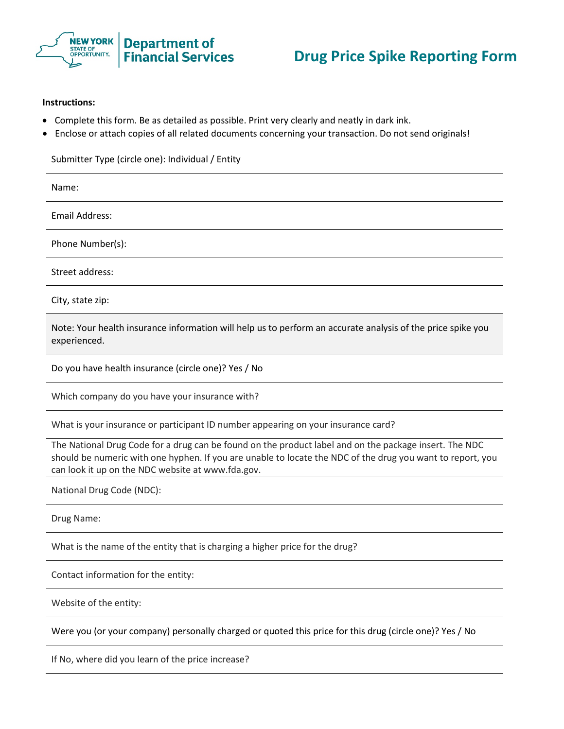

## **Instructions:**

- Complete this form. Be as detailed as possible. Print very clearly and neatly in dark ink.
- Enclose or attach copies of all related documents concerning your transaction. Do not send originals!

Submitter Type (circle one): Individual / Entity

Name: Email Address: Phone Number(s): Street address: City, state zip:

Note: Your health insurance information will help us to perform an accurate analysis of the price spike you experienced.

Do you have health insurance (circle one)? Yes / No

Which company do you have your insurance with?

What is your insurance or participant ID number appearing on your insurance card?

The National Drug Code for a drug can be found on the product label and on the package insert. The NDC should be numeric with one hyphen. If you are unable to locate the NDC of the drug you want to report, you can look it up on the NDC website at www.fda.gov.

National Drug Code (NDC):

Drug Name:

What is the name of the entity that is charging a higher price for the drug?

Contact information for the entity:

Website of the entity:

Were you (or your company) personally charged or quoted this price for this drug (circle one)? Yes / No

If No, where did you learn of the price increase?